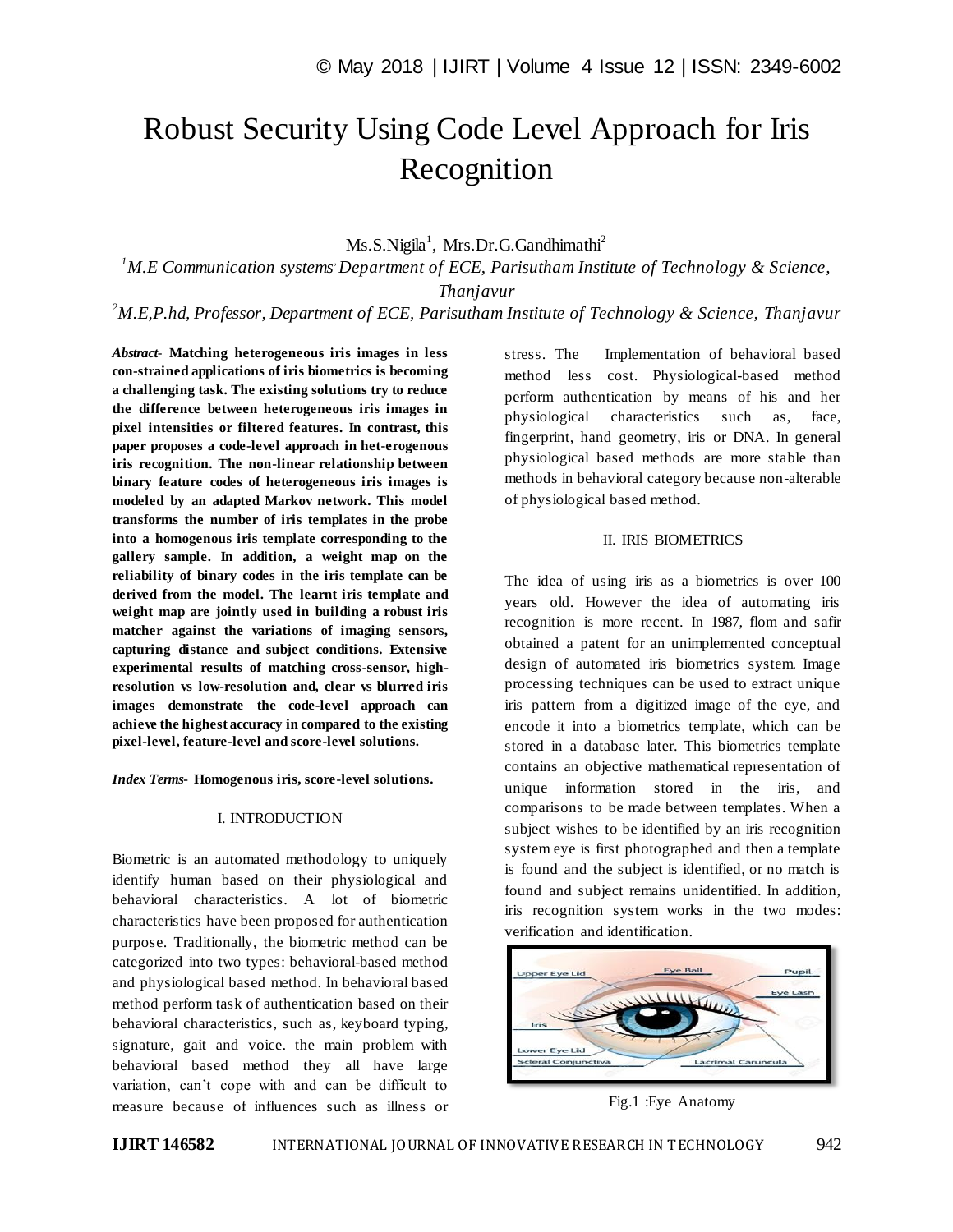# Robust Security Using Code Level Approach for Iris Recognition

## Ms.S.Nigila<sup>1</sup>, Mrs.Dr.G.Gandhimathi<sup>2</sup>

*<sup>1</sup>M.E Communication systems, Department of ECE, Parisutham Institute of Technology & Science, Thanjavur*

*<sup>2</sup>M.E,P.hd, Professor, Department of ECE, Parisutham Institute of Technology & Science, Thanjavur*

*Abstract*- **Matching heterogeneous iris images in less con-strained applications of iris biometrics is becoming a challenging task. The existing solutions try to reduce the difference between heterogeneous iris images in pixel intensities or filtered features. In contrast, this paper proposes a code-level approach in het-erogenous iris recognition. The non-linear relationship between binary feature codes of heterogeneous iris images is modeled by an adapted Markov network. This model transforms the number of iris templates in the probe into a homogenous iris template corresponding to the gallery sample. In addition, a weight map on the reliability of binary codes in the iris template can be derived from the model. The learnt iris template and weight map are jointly used in building a robust iris matcher against the variations of imaging sensors, capturing distance and subject conditions. Extensive experimental results of matching cross-sensor, highresolution vs low-resolution and, clear vs blurred iris images demonstrate the code-level approach can achieve the highest accuracy in compared to the existing pixel-level, feature-level and score-level solutions.**

*Index Terms***- Homogenous iris, score-level solutions.**

#### I. INTRODUCTION

Biometric is an automated methodology to uniquely identify human based on their physiological and behavioral characteristics. A lot of biometric characteristics have been proposed for authentication purpose. Traditionally, the biometric method can be categorized into two types: behavioral-based method and physiological based method. In behavioral based method perform task of authentication based on their behavioral characteristics, such as, keyboard typing, signature, gait and voice. the main problem with behavioral based method they all have large variation, can't cope with and can be difficult to measure because of influences such as illness or stress. The Implementation of behavioral based method less cost. Physiological-based method perform authentication by means of his and her physiological characteristics such as, face, fingerprint, hand geometry, iris or DNA. In general physiological based methods are more stable than methods in behavioral category because non-alterable of physiological based method.

#### II. IRIS BIOMETRICS

The idea of using iris as a biometrics is over 100 years old. However the idea of automating iris recognition is more recent. In 1987, flom and safir obtained a patent for an unimplemented conceptual design of automated iris biometrics system. Image processing techniques can be used to extract unique iris pattern from a digitized image of the eye, and encode it into a biometrics template, which can be stored in a database later. This biometrics template contains an objective mathematical representation of unique information stored in the iris, and comparisons to be made between templates. When a subject wishes to be identified by an iris recognition system eye is first photographed and then a template is found and the subject is identified, or no match is found and subject remains unidentified. In addition, iris recognition system works in the two modes: verification and identification.



Fig.1 :Eye Anatomy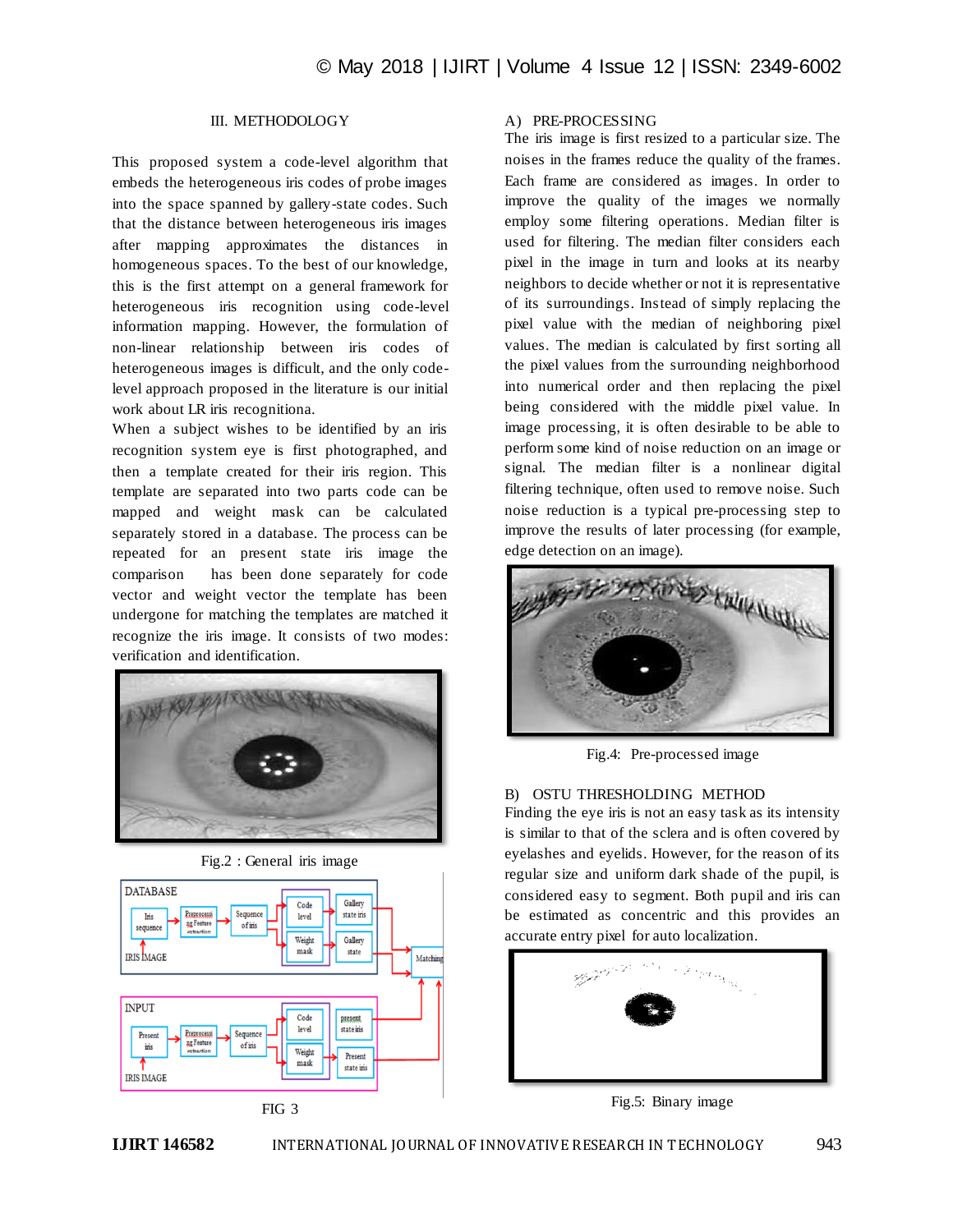## III. METHODOLOGY

This proposed system a code-level algorithm that embeds the heterogeneous iris codes of probe images into the space spanned by gallery-state codes. Such that the distance between heterogeneous iris images after mapping approximates the distances in homogeneous spaces. To the best of our knowledge, this is the first attempt on a general framework for heterogeneous iris recognition using code-level information mapping. However, the formulation of non-linear relationship between iris codes of heterogeneous images is difficult, and the only codelevel approach proposed in the literature is our initial work about LR iris recognitiona.

When a subject wishes to be identified by an iris recognition system eye is first photographed, and then a template created for their iris region. This template are separated into two parts code can be mapped and weight mask can be calculated separately stored in a database. The process can be repeated for an present state iris image the comparison has been done separately for code vector and weight vector the template has been undergone for matching the templates are matched it recognize the iris image. It consists of two modes: verification and identification.





FIG 3

#### A) PRE-PROCESSING

The iris image is first resized to a particular size. The noises in the frames reduce the quality of the frames. Each frame are considered as images. In order to improve the quality of the images we normally employ some filtering operations. Median filter is used for filtering. The median filter considers each pixel in the image in turn and looks at its nearby neighbors to decide whether or not it is representative of its surroundings. Instead of simply replacing the pixel value with the median of neighboring pixel values. The median is calculated by first sorting all the pixel values from the surrounding neighborhood into numerical order and then replacing the pixel being considered with the middle pixel value. In image processing, it is often desirable to be able to perform some kind of noise reduction on an image or signal. The median filter is a nonlinear digital filtering technique, often used to remove noise. Such noise reduction is a typical pre-processing step to improve the results of later processing (for example, edge detection on an image).



Fig.4: Pre-processed image

## B) OSTU THRESHOLDING METHOD

Finding the eye iris is not an easy task as its intensity is similar to that of the sclera and is often covered by eyelashes and eyelids. However, for the reason of its regular size and uniform dark shade of the pupil, is considered easy to segment. Both pupil and iris can be estimated as concentric and this provides an accurate entry pixel for auto localization.



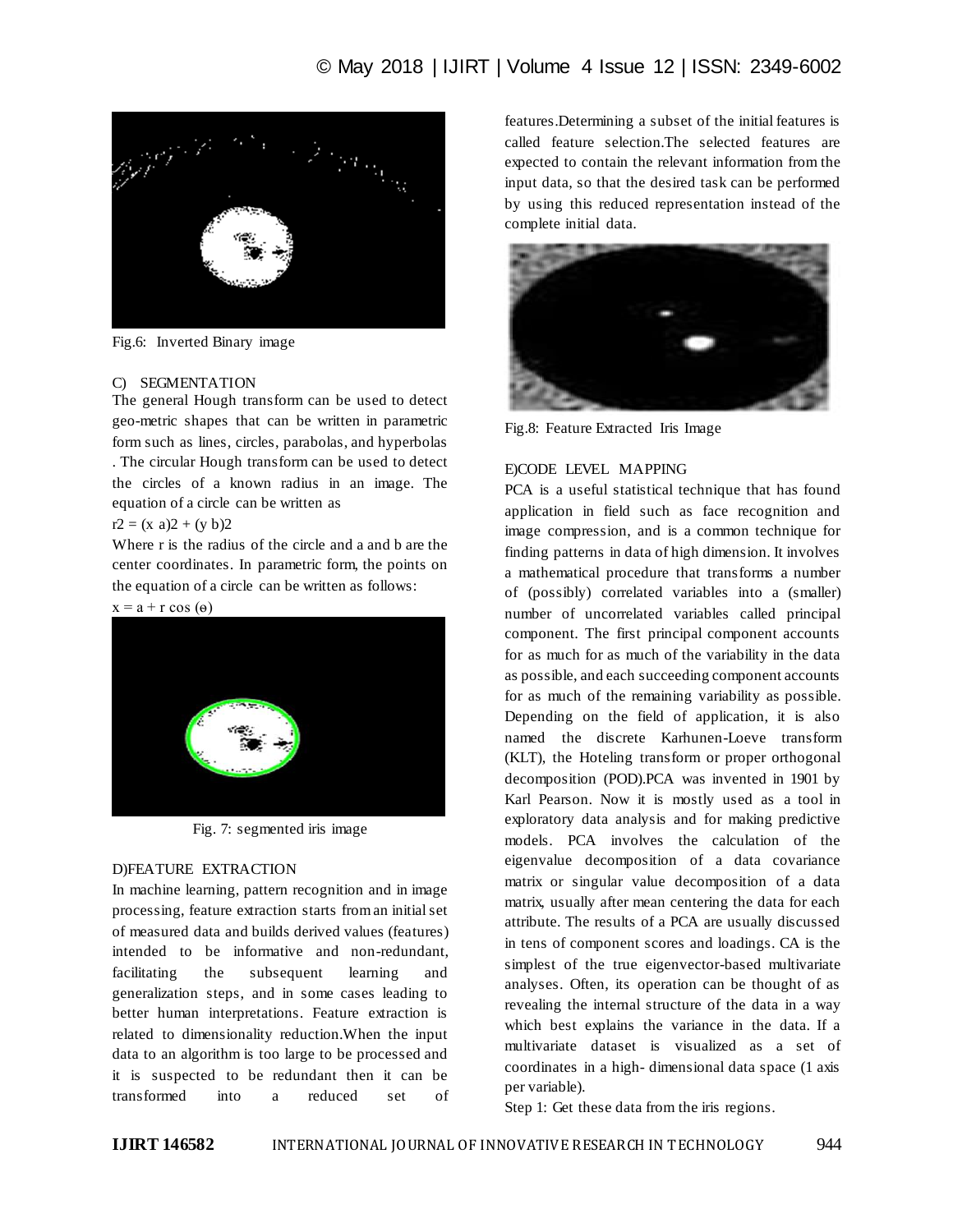

Fig.6: Inverted Binary image

#### C) SEGMENTATION

The general Hough transform can be used to detect geo-metric shapes that can be written in parametric form such as lines, circles, parabolas, and hyperbolas . The circular Hough transform can be used to detect the circles of a known radius in an image. The equation of a circle can be written as

#### $r2 = (x a)2 + (y b)2$

Where r is the radius of the circle and a and b are the center coordinates. In parametric form, the points on the equation of a circle can be written as follows:





Fig. 7: segmented iris image

#### D)FEATURE EXTRACTION

In machine learning, pattern recognition and in image processing, feature extraction starts from an initial set of measured data and builds derived values (features) intended to be informative and non-redundant, facilitating the subsequent learning and generalization steps, and in some cases leading to better human interpretations. Feature extraction is related to dimensionality reduction.When the input data to an algorithm is too large to be processed and it is suspected to be redundant then it can be transformed into a reduced set of

features.Determining a subset of the initial features is called feature selection.The selected features are expected to contain the relevant information from the input data, so that the desired task can be performed by using this reduced representation instead of the complete initial data.



Fig.8: Feature Extracted Iris Image

## E)CODE LEVEL MAPPING

PCA is a useful statistical technique that has found application in field such as face recognition and image compression, and is a common technique for finding patterns in data of high dimension. It involves a mathematical procedure that transforms a number of (possibly) correlated variables into a (smaller) number of uncorrelated variables called principal component. The first principal component accounts for as much for as much of the variability in the data as possible, and each succeeding component accounts for as much of the remaining variability as possible. Depending on the field of application, it is also named the discrete Karhunen-Loeve transform (KLT), the Hoteling transform or proper orthogonal decomposition (POD).PCA was invented in 1901 by Karl Pearson. Now it is mostly used as a tool in exploratory data analysis and for making predictive models. PCA involves the calculation of the eigenvalue decomposition of a data covariance matrix or singular value decomposition of a data matrix, usually after mean centering the data for each attribute. The results of a PCA are usually discussed in tens of component scores and loadings. CA is the simplest of the true eigenvector-based multivariate analyses. Often, its operation can be thought of as revealing the internal structure of the data in a way which best explains the variance in the data. If a multivariate dataset is visualized as a set of coordinates in a high- dimensional data space (1 axis per variable).

Step 1: Get these data from the iris regions.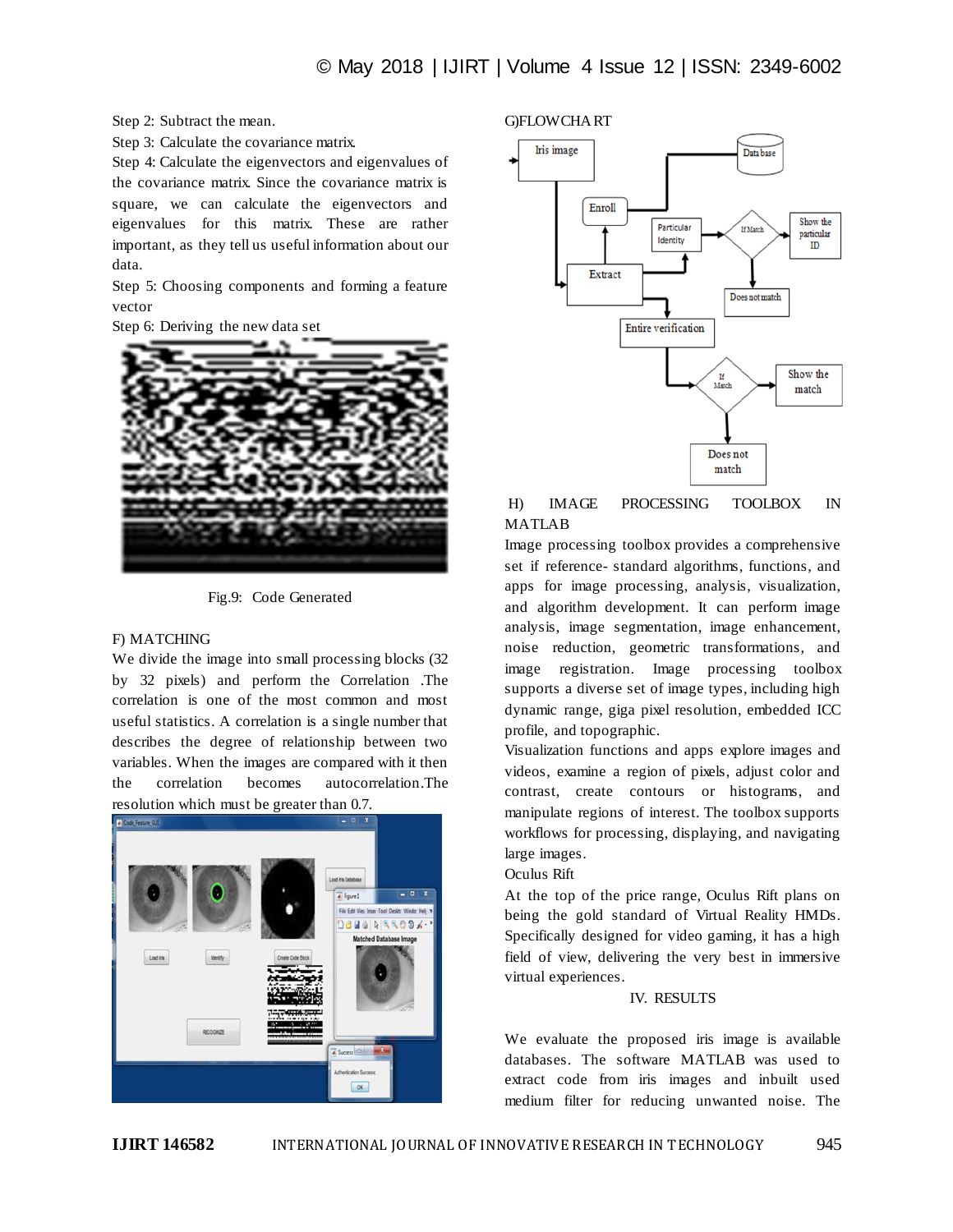Step 2: Subtract the mean.

Step 3: Calculate the covariance matrix.

Step 4: Calculate the eigenvectors and eigenvalues of the covariance matrix. Since the covariance matrix is square, we can calculate the eigenvectors and eigenvalues for this matrix. These are rather important, as they tell us useful information about our data.

Step 5: Choosing components and forming a feature vector

Step 6: Deriving the new data set



Fig.9: Code Generated

#### F) MATCHING

We divide the image into small processing blocks (32 by 32 pixels) and perform the Correlation .The correlation is one of the most common and most useful statistics. A correlation is a single number that describes the degree of relationship between two variables. When the images are compared with it then the correlation becomes autocorrelation.The resolution which must be greater than 0.7.



G)FLOWCHART



#### H) IMAGE PROCESSING TOOLBOX IN MATLAB

Image processing toolbox provides a comprehensive set if reference- standard algorithms, functions, and apps for image processing, analysis, visualization, and algorithm development. It can perform image analysis, image segmentation, image enhancement, noise reduction, geometric transformations, and image registration. Image processing toolbox supports a diverse set of image types, including high dynamic range, giga pixel resolution, embedded ICC profile, and topographic.

Visualization functions and apps explore images and videos, examine a region of pixels, adjust color and contrast, create contours or histograms, and manipulate regions of interest. The toolbox supports workflows for processing, displaying, and navigating large images.

#### Oculus Rift

At the top of the price range, Oculus Rift plans on being the gold standard of Virtual Reality HMDs. Specifically designed for video gaming, it has a high field of view, delivering the very best in immersive virtual experiences.

#### IV. RESULTS

We evaluate the proposed iris image is available databases. The software MATLAB was used to extract code from iris images and inbuilt used medium filter for reducing unwanted noise. The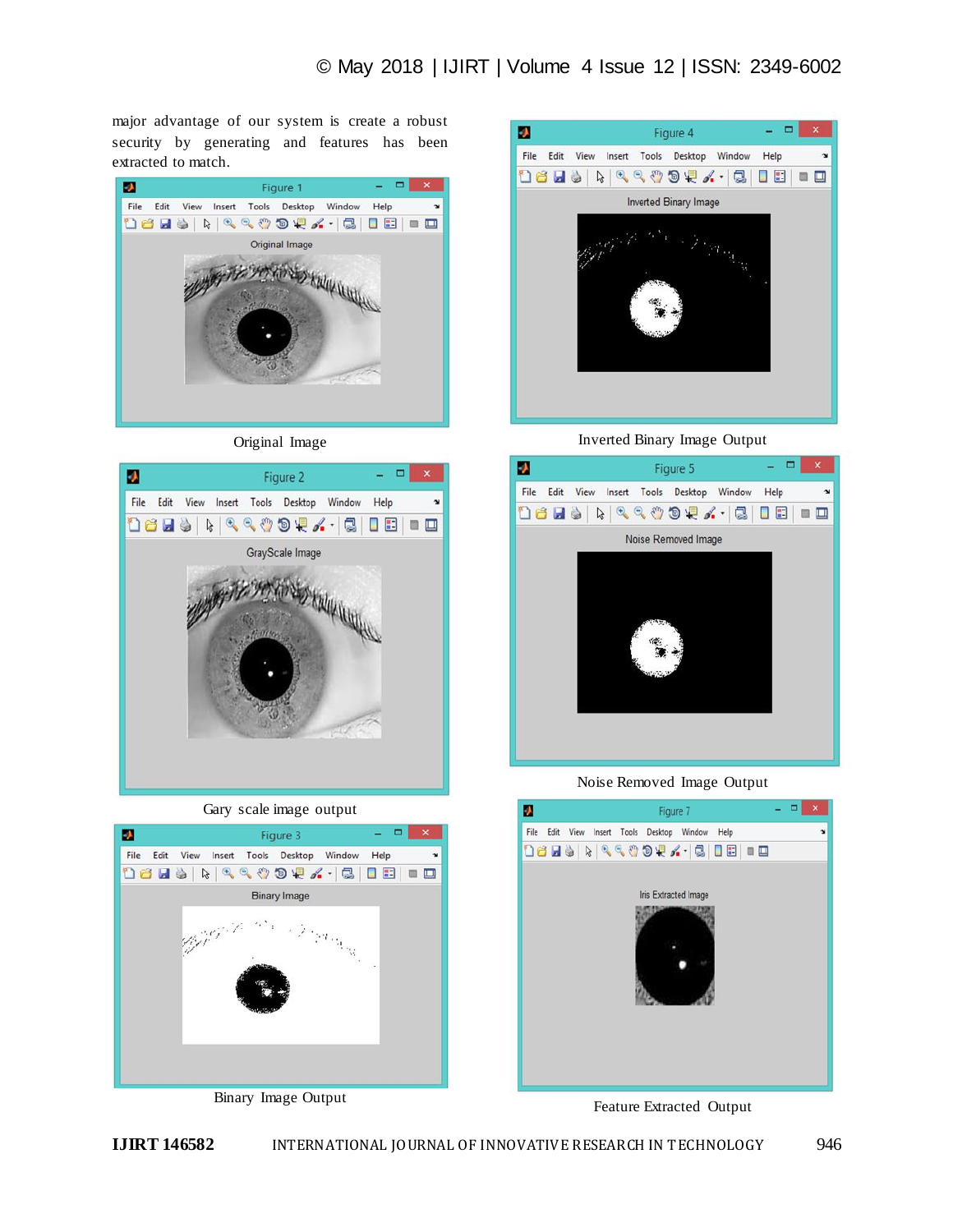major advantage of our system is create a robust security by generating and features has been extracted to match.



Original Image



Gary scale image output



Binary Image Output



Inverted Binary Image Output



Noise Removed Image Output



Feature Extracted Output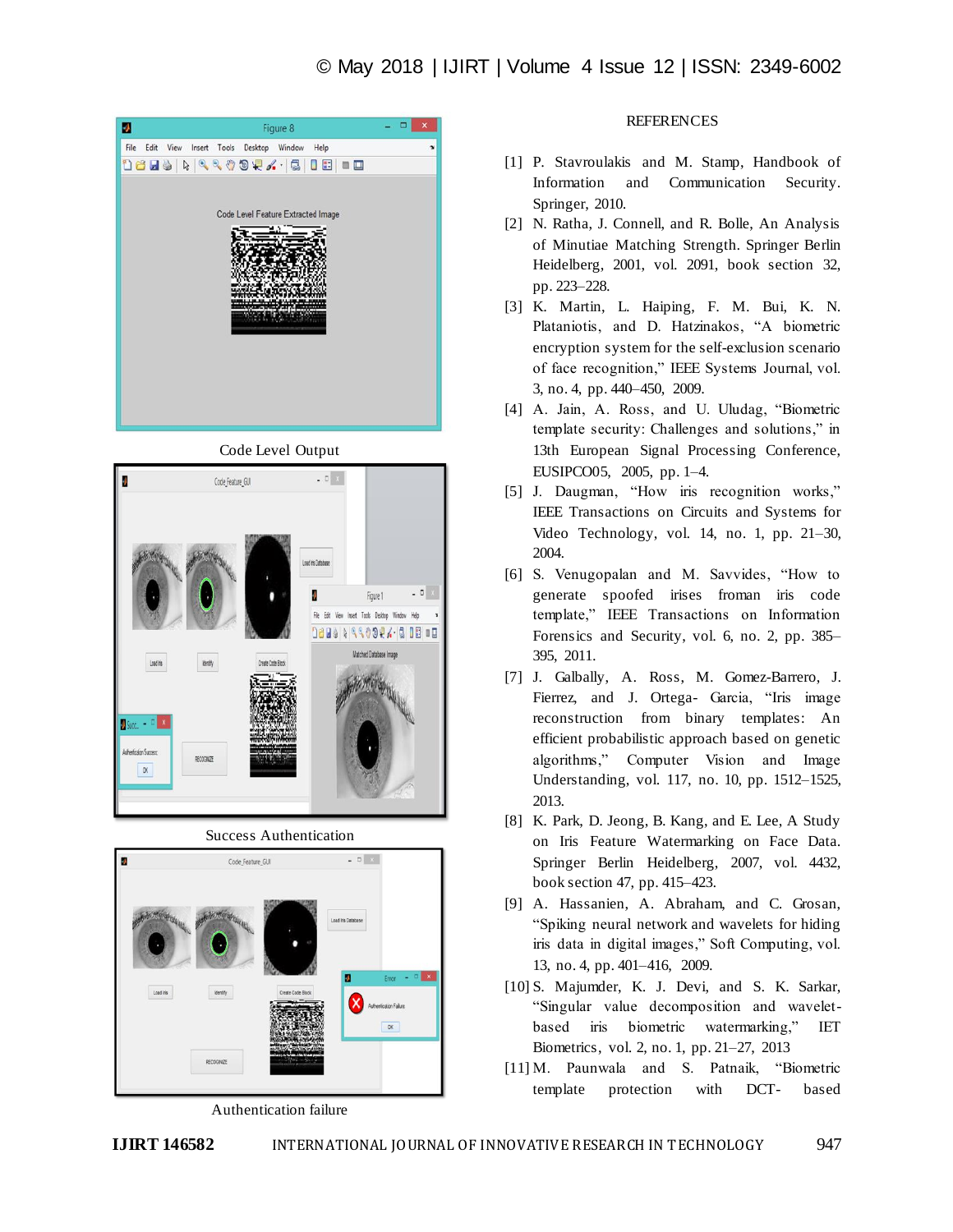





Success Authentication



Authentication failure

## **REFERENCES**

- [1] P. Stavroulakis and M. Stamp, Handbook of Information and Communication Security. Springer, 2010.
- [2] N. Ratha, J. Connell, and R. Bolle, An Analysis of Minutiae Matching Strength. Springer Berlin Heidelberg, 2001, vol. 2091, book section 32, pp. 223–228.
- [3] K. Martin, L. Haiping, F. M. Bui, K. N. Plataniotis, and D. Hatzinakos, "A biometric encryption system for the self-exclusion scenario of face recognition," IEEE Systems Journal, vol. 3, no. 4, pp. 440–450, 2009.
- [4] A. Jain, A. Ross, and U. Uludag, "Biometric template security: Challenges and solutions," in 13th European Signal Processing Conference, EUSIPCO05, 2005, pp. 1–4.
- [5] J. Daugman, "How iris recognition works," IEEE Transactions on Circuits and Systems for Video Technology, vol. 14, no. 1, pp. 21–30, 2004.
- [6] S. Venugopalan and M. Savvides, "How to generate spoofed irises froman iris code template," IEEE Transactions on Information Forensics and Security, vol. 6, no. 2, pp. 385– 395, 2011.
- [7] J. Galbally, A. Ross, M. Gomez-Barrero, J. Fierrez, and J. Ortega- Garcia, "Iris image reconstruction from binary templates: An efficient probabilistic approach based on genetic algorithms," Computer Vision and Image Understanding, vol. 117, no. 10, pp. 1512–1525, 2013.
- [8] K. Park, D. Jeong, B. Kang, and E. Lee, A Study on Iris Feature Watermarking on Face Data. Springer Berlin Heidelberg, 2007, vol. 4432, book section 47, pp. 415–423.
- [9] A. Hassanien, A. Abraham, and C. Grosan, "Spiking neural network and wavelets for hiding iris data in digital images," Soft Computing, vol. 13, no. 4, pp. 401–416, 2009.
- [10] S. Majumder, K. J. Devi, and S. K. Sarkar, "Singular value decomposition and waveletbased iris biometric watermarking," IET Biometrics, vol. 2, no. 1, pp. 21–27, 2013
- [11] M. Paunwala and S. Patnaik, "Biometric template protection with DCT- based